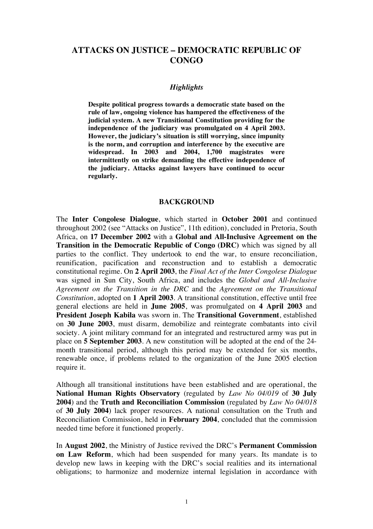# **ATTACKS ON JUSTICE – DEMOCRATIC REPUBLIC OF CONGO**

#### *Highlights*

**Despite political progress towards a democratic state based on the rule of law, ongoing violence has hampered the effectiveness of the judicial system. A new Transitional Constitution providing for the independence of the judiciary was promulgated on 4 April 2003. However, the judiciary's situation is still worrying, since impunity is the norm, and corruption and interference by the executive are widespread. In 2003 and 2004, 1,700 magistrates were intermittently on strike demanding the effective independence of the judiciary. Attacks against lawyers have continued to occur regularly.** 

#### **BACKGROUND**

The **Inter Congolese Dialogue**, which started in **October 2001** and continued throughout 2002 (see "Attacks on Justice", 11th edition), concluded in Pretoria, South Africa, on **17 December 2002** with a **Global and All-Inclusive Agreement on the Transition in the Democratic Republic of Congo (DRC)** which was signed by all parties to the conflict. They undertook to end the war, to ensure reconciliation, reunification, pacification and reconstruction and to establish a democratic constitutional regime. On **2 April 2003**, the *Final Act of the Inter Congolese Dialogue* was signed in Sun City, South Africa, and includes the *Global and All-Inclusive Agreement on the Transition in the DRC* and the *Agreement on the Transitional Constitution*, adopted on **1 April 2003**. A transitional constitution, effective until free general elections are held in **June 2005**, was promulgated on **4 April 2003** and **President Joseph Kabila** was sworn in. The **Transitional Government**, established on **30 June 2003**, must disarm, demobilize and reintegrate combatants into civil society. A joint military command for an integrated and restructured army was put in place on **5 September 2003**. A new constitution will be adopted at the end of the 24 month transitional period, although this period may be extended for six months, renewable once, if problems related to the organization of the June 2005 election require it.

Although all transitional institutions have been established and are operational, the **National Human Rights Observatory** (regulated by *Law No 04/019* of **30 July 2004**) and the **Truth and Reconciliation Commission** (regulated by *Law No 04/018* of **30 July 2004**) lack proper resources. A national consultation on the Truth and Reconciliation Commission, held in **February 2004**, concluded that the commission needed time before it functioned properly.

In **August 2002**, the Ministry of Justice revived the DRC's **Permanent Commission on Law Reform**, which had been suspended for many years. Its mandate is to develop new laws in keeping with the DRC's social realities and its international obligations; to harmonize and modernize internal legislation in accordance with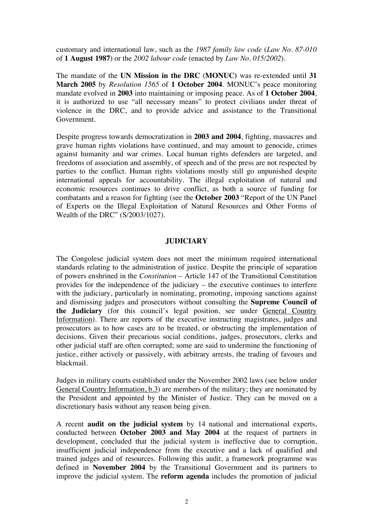customary and international law, such as the *1987 family law code* (*Law No. 87-010*  of **1 August 1987**) or the *2002 labour code* (enacted by *Law No. 015/2002*).

The mandate of the **UN Mission in the DRC** (**MONUC)** was re-extended until **31 March 2005** by *Resolution 1565* of **1 October 2004**. MONUC's peace monitoring mandate evolved in **2003** into maintaining or imposing peace. As of **1 October 2004**, it is authorized to use "all necessary means" to protect civilians under threat of violence in the DRC, and to provide advice and assistance to the Transitional Government.

Despite progress towards democratization in **2003 and 2004**, fighting, massacres and grave human rights violations have continued, and may amount to genocide, crimes against humanity and war crimes. Local human rights defenders are targeted, and freedoms of association and assembly, of speech and of the press are not respected by parties to the conflict. Human rights violations mostly still go unpunished despite international appeals for accountability. The illegal exploitation of natural and economic resources continues to drive conflict, as both a source of funding for combatants and a reason for fighting (see the **October 2003** "Report of the UN Panel of Experts on the Illegal Exploitation of Natural Resources and Other Forms of Wealth of the DRC" (S/2003/1027).

#### **JUDICIARY**

The Congolese judicial system does not meet the minimum required international standards relating to the administration of justice. Despite the principle of separation of powers enshrined in the *Constitution* – Article 147 of the Transitional Constitution provides for the independence of the judiciary – the executive continues to interfere with the judiciary, particularly in nominating, promoting, imposing sanctions against and dismissing judges and prosecutors without consulting the **Supreme Council of the Judiciary** (for this council's legal position, see under General Country Information). There are reports of the executive instructing magistrates, judges and prosecutors as to how cases are to be treated, or obstructing the implementation of decisions. Given their precarious social conditions, judges, prosecutors, clerks and other judicial staff are often corrupted; some are said to undermine the functioning of justice, either actively or passively, with arbitrary arrests, the trading of favours and blackmail.

Judges in military courts established under the November 2002 laws (see below under General Country Information, b.3) are members of the military; they are nominated by the President and appointed by the Minister of Justice. They can be moved on a discretionary basis without any reason being given.

A recent **audit on the judicial system** by 14 national and international experts, conducted between **October 2003 and May 2004** at the request of partners in development, concluded that the judicial system is ineffective due to corruption, insufficient judicial independence from the executive and a lack of qualified and trained judges and of resources. Following this audit, a framework programme was defined in **November 2004** by the Transitional Government and its partners to improve the judicial system. The **reform agenda** includes the promotion of judicial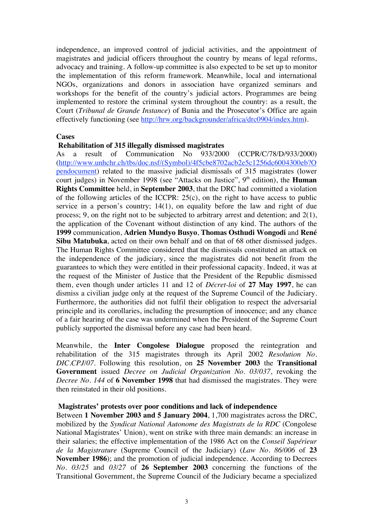independence, an improved control of judicial activities, and the appointment of magistrates and judicial officers throughout the country by means of legal reforms, advocacy and training. A follow-up committee is also expected to be set up to monitor the implementation of this reform framework. Meanwhile, local and international NGOs, organizations and donors in association have organized seminars and workshops for the benefit of the country's judicial actors. Programmes are being implemented to restore the criminal system throughout the country: as a result, the Court (*Tribunal de Grande Instance*) of Bunia and the Prosecutor's Office are again effectively functioning (see http://hrw.org/backgrounder/africa/drc0904/index.htm).

#### **Cases**

## **Rehabilitation of 315 illegally dismissed magistrates**

As a result of Communication No 933/2000 (CCPR/C/78/D/933/2000) (http://www.unhchr.ch/tbs/doc.nsf/(Symbol)/4f5cbe8702acb2e5c1256dc6004300eb?O pendocument) related to the massive judicial dismissals of 315 magistrates (lower court judges) in November 1998 (see "Attacks on Justice", 9<sup>th</sup> edition), the **Human Rights Committee** held, in **September 2003**, that the DRC had committed a violation of the following articles of the ICCPR: 25(c), on the right to have access to public service in a person's country; 14(1), on equality before the law and right of due process; 9, on the right not to be subjected to arbitrary arrest and detention; and 2(1), the application of the Covenant without distinction of any kind. The authors of the **1999** communication, **Adrien Mundyo Busyo**, **Thomas Osthudi Wongodi** and **René Sibu Matubuka**, acted on their own behalf and on that of 68 other dismissed judges. The Human Rights Committee considered that the dismissals constituted an attack on the independence of the judiciary, since the magistrates did not benefit from the guarantees to which they were entitled in their professional capacity. Indeed, it was at the request of the Minister of Justice that the President of the Republic dismissed them, even though under articles 11 and 12 of *Décret-loi* of **27 May 1997**, he can dismiss a civilian judge only at the request of the Supreme Council of the Judiciary. Furthermore, the authorities did not fulfil their obligation to respect the adversarial principle and its corollaries, including the presumption of innocence; and any chance of a fair hearing of the case was undermined when the President of the Supreme Court publicly supported the dismissal before any case had been heard.

Meanwhile, the **Inter Congolese Dialogue** proposed the reintegration and rehabilitation of the 315 magistrates through its April 2002 *Resolution No. DIC.CPJ/07*. Following this resolution, on **25 November 2003** the **Transitional Government** issued *Decree on Judicial Organization No. 03/037*, revoking the *Decree No. 144* of **6 November 1998** that had dismissed the magistrates. They were then reinstated in their old positions.

#### **Magistrates' protests over poor conditions and lack of independence**

Between **1 November 2003 and 5 January 2004**, 1,700 magistrates across the DRC, mobilized by the *Syndicat National Autonome des Magistrats de la RDC* (Congolese National Magistrates' Union), went on strike with three main demands: an increase in their salaries; the effective implementation of the 1986 Act on the *Conseil Supérieur de la Magistrature* (Supreme Council of the Judiciary) (*Law No. 86/006* of **23 November 1986**); and the promotion of judicial independence. According to Decrees *No. 03/25* and *03/27* of **26 September 2003** concerning the functions of the Transitional Government, the Supreme Council of the Judiciary became a specialized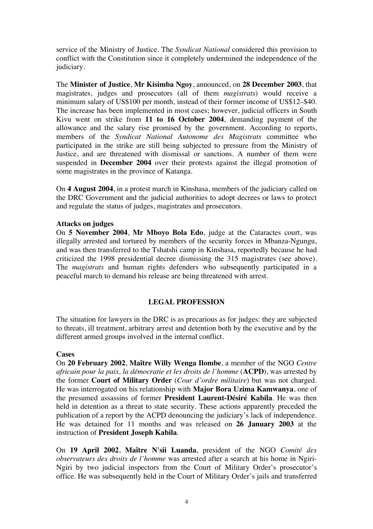service of the Ministry of Justice. The *Syndicat National* considered this provision to conflict with the Constitution since it completely undermined the independence of the judiciary.

The **Minister of Justice**, **Mr Kisimba Ngoy**, announced, on **28 December 2003**, that magistrates, judges and prosecutors (all of them *magistrats*) would receive a minimum salary of US\$100 per month, instead of their former income of US\$12–\$40. The increase has been implemented in most cases; however, judicial officers in South Kivu went on strike from **11 to 16 October 2004**, demanding payment of the allowance and the salary rise promised by the government. According to reports, members of the *Syndicat National Autonome des Magistrats* committee who participated in the strike are still being subjected to pressure from the Ministry of Justice, and are threatened with dismissal or sanctions. A number of them were suspended in **December 2004** over their protests against the illegal promotion of some magistrates in the province of Katanga.

On **4 August 2004**, in a protest march in Kinshasa, members of the judiciary called on the DRC Government and the judicial authorities to adopt decrees or laws to protect and regulate the status of judges, magistrates and prosecutors.

#### **Attacks on judges**

On **5 November 2004**, **Mr Mboyo Bola Edo**, judge at the Cataractes court, was illegally arrested and tortured by members of the security forces in Mbanza-Ngungu, and was then transferred to the Tshatshi camp in Kinshasa, reportedly because he had criticized the 1998 presidential decree dismissing the 315 magistrates (see above). The *magistrats* and human rights defenders who subsequently participated in a peaceful march to demand his release are being threatened with arrest.

## **LEGAL PROFESSION**

The situation for lawyers in the DRC is as precarious as for judges: they are subjected to threats, ill treatment, arbitrary arrest and detention both by the executive and by the different armed groups involved in the internal conflict.

#### **Cases**

On **20 February 2002**, **Maître Willy Wenga Ilombe**, a member of the NGO *Centre africain pour la paix, la démocratie et les droits de l'homme* (**ACPD**), was arrested by the former **Court of Military Order** (*Cour d'ordre militaire*) but was not charged. He was interrogated on his relationship with **Major Bora Uzima Kamwanya**, one of the presumed assassins of former **President Laurent-Désiré Kabila**. He was then held in detention as a threat to state security. These actions apparently preceded the publication of a report by the ACPD denouncing the judiciary's lack of independence. He was detained for 11 months and was released on **26 January 2003** at the instruction of **President Joseph Kabila**.

On **19 April 2002**, **Maître N'sii Luanda**, president of the NGO *Comité des observateurs des droits de l'homme* was arrested after a search at his home in Ngiri-Ngiri by two judicial inspectors from the Court of Military Order's prosecutor's office. He was subsequently held in the Court of Military Order's jails and transferred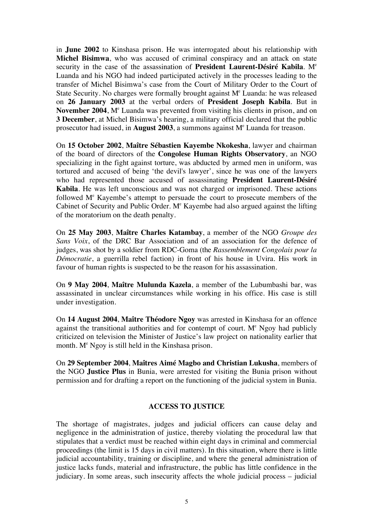in **June 2002** to Kinshasa prison. He was interrogated about his relationship with **Michel Bisimwa**, who was accused of criminal conspiracy and an attack on state security in the case of the assassination of **President Laurent-Désiré Kabila**. M<sup>e</sup> Luanda and his NGO had indeed participated actively in the processes leading to the transfer of Michel Bisimwa's case from the Court of Military Order to the Court of State Security. No charges were formally brought against  $M<sup>e</sup>$  Luanda: he was released on **26 January 2003** at the verbal orders of **President Joseph Kabila**. But in November 2004, M<sup>e</sup> Luanda was prevented from visiting his clients in prison, and on **3 December**, at Michel Bisimwa's hearing, a military official declared that the public prosecutor had issued, in **August 2003**, a summons against M<sup>e</sup> Luanda for treason.

On **15 October 2002**, **Maître Sébastien Kayembe Nkokesha**, lawyer and chairman of the board of directors of the **Congolese Human Rights Observatory**, an NGO specializing in the fight against torture, was abducted by armed men in uniform, was tortured and accused of being 'the devil's lawyer', since he was one of the lawyers who had represented those accused of assassinating **President Laurent-Désiré Kabila**. He was left unconscious and was not charged or imprisoned. These actions followed M<sup>e</sup> Kayembe's attempt to persuade the court to prosecute members of the Cabinet of Security and Public Order. M<sup>e</sup> Kayembe had also argued against the lifting of the moratorium on the death penalty.

On **25 May 2003**, **Maître Charles Katambay**, a member of the NGO *Groupe des Sans Voix*, of the DRC Bar Association and of an association for the defence of judges, was shot by a soldier from RDC-Goma (the *Rassemblement Congolais pour la Démocratie*, a guerrilla rebel faction) in front of his house in Uvira. His work in favour of human rights is suspected to be the reason for his assassination.

On **9 May 2004**, **Maître Mulunda Kazela**, a member of the Lubumbashi bar, was assassinated in unclear circumstances while working in his office. His case is still under investigation.

On **14 August 2004**, **Maître Théodore Ngoy** was arrested in Kinshasa for an offence against the transitional authorities and for contempt of court. M<sup>e</sup> Ngoy had publicly criticized on television the Minister of Justice's law project on nationality earlier that month. M<sup>e</sup> Ngoy is still held in the Kinshasa prison.

On **29 September 2004**, **Maîtres Aimé Magbo and Christian Lukusha**, members of the NGO **Justice Plus** in Bunia, were arrested for visiting the Bunia prison without permission and for drafting a report on the functioning of the judicial system in Bunia.

# **ACCESS TO JUSTICE**

The shortage of magistrates, judges and judicial officers can cause delay and negligence in the administration of justice, thereby violating the procedural law that stipulates that a verdict must be reached within eight days in criminal and commercial proceedings (the limit is 15 days in civil matters). In this situation, where there is little judicial accountability, training or discipline, and where the general administration of justice lacks funds, material and infrastructure, the public has little confidence in the judiciary. In some areas, such insecurity affects the whole judicial process – judicial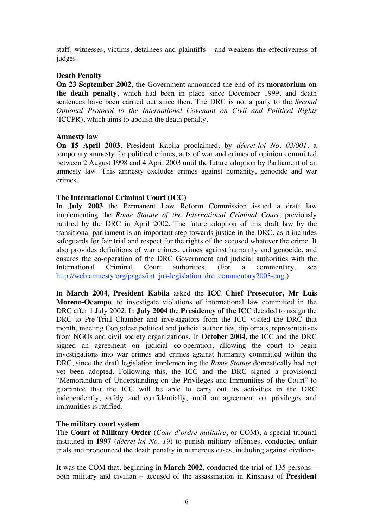staff, witnesses, victims, detainees and plaintiffs – and weakens the effectiveness of judges.

## **Death Penalty**

**On 23 September 2002**, the Government announced the end of its **moratorium on the death penalty**, which had been in place since December 1999, and death sentences have been carried out since then. The DRC is not a party to the *Second Optional Protocol to the International Covenant on Civil and Political Rights* (ICCPR), which aims to abolish the death penalty.

# **Amnesty law**

**On 15 April 2003**, President Kabila proclaimed, by *décret-loi No. 03/001*, a temporary amnesty for political crimes, acts of war and crimes of opinion committed between 2 August 1998 and 4 April 2003 until the future adoption by Parliament of an amnesty law. This amnesty excludes crimes against humanity, genocide and war crimes.

# **The International Criminal Court (ICC)**

In **July 2003** the Permanent Law Reform Commission issued a draft law implementing the *Rome Statute of the International Criminal Court*, previously ratified by the DRC in April 2002. The future adoption of this draft law by the transitional parliament is an important step towards justice in the DRC, as it includes safeguards for fair trial and respect for the rights of the accused whatever the crime. It also provides definitions of war crimes, crimes against humanity and genocide, and ensures the co-operation of the DRC Government and judicial authorities with the International Criminal Court authorities. (For a commentary, see http://web.amnesty.org/pages/int\_jus-legislation\_drc\_commentary2003-eng.)

In **March 2004**, **President Kabila** asked the **ICC Chief Prosecutor, Mr Luis Moreno-Ocampo**, to investigate violations of international law committed in the DRC after 1 July 2002. In **July 2004** the **Presidency of the ICC** decided to assign the DRC to Pre-Trial Chamber and investigators from the ICC visited the DRC that month, meeting Congolese political and judicial authorities, diplomats, representatives from NGOs and civil society organizations. In **October 2004**, the ICC and the DRC signed an agreement on judicial co-operation, allowing the court to begin investigations into war crimes and crimes against humanity committed within the DRC, since the draft legislation implementing the *Rome Statute* domestically had not yet been adopted. Following this, the ICC and the DRC signed a provisional "Memorandum of Understanding on the Privileges and Immunities of the Court" to guarantee that the ICC will be able to carry out its activities in the DRC independently, safely and confidentially, until an agreement on privileges and immunities is ratified.

# **The military court system**

The **Court of Military Order** (*Cour d'ordre militaire*, or COM), a special tribunal instituted in **1997** (*décret-loi No. 19*) to punish military offences, conducted unfair trials and pronounced the death penalty in numerous cases, including against civilians.

It was the COM that, beginning in **March 2002**, conducted the trial of 135 persons – both military and civilian – accused of the assassination in Kinshasa of **President**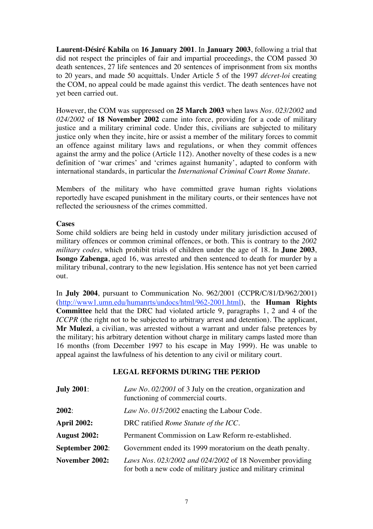**Laurent-Désiré Kabila** on **16 January 2001**. In **January 2003**, following a trial that did not respect the principles of fair and impartial proceedings, the COM passed 30 death sentences, 27 life sentences and 20 sentences of imprisonment from six months to 20 years, and made 50 acquittals. Under Article 5 of the 1997 *décret-loi* creating the COM, no appeal could be made against this verdict. The death sentences have not yet been carried out.

However, the COM was suppressed on **25 March 2003** when laws *Nos. 023/2002* and *024/2002* of **18 November 2002** came into force, providing for a code of military justice and a military criminal code. Under this, civilians are subjected to military justice only when they incite, hire or assist a member of the military forces to commit an offence against military laws and regulations, or when they commit offences against the army and the police (Article 112). Another novelty of these codes is a new definition of 'war crimes' and 'crimes against humanity', adapted to conform with international standards, in particular the *International Criminal Court Rome Statute*.

Members of the military who have committed grave human rights violations reportedly have escaped punishment in the military courts, or their sentences have not reflected the seriousness of the crimes committed.

## **Cases**

Some child soldiers are being held in custody under military jurisdiction accused of military offences or common criminal offences, or both. This is contrary to the *2002 military codes*, which prohibit trials of children under the age of 18. In **June 2003**, **Isongo Zabenga**, aged 16, was arrested and then sentenced to death for murder by a military tribunal, contrary to the new legislation. His sentence has not yet been carried out.

In **July 2004**, pursuant to Communication No. 962/2001 (CCPR/C/81/D/962/2001) (http://www1.umn.edu/humanrts/undocs/html/962-2001.html), the **Human Rights Committee** held that the DRC had violated article 9, paragraphs 1, 2 and 4 of the *ICCPR* (the right not to be subjected to arbitrary arrest and detention). The applicant, **Mr Mulezi**, a civilian, was arrested without a warrant and under false pretences by the military; his arbitrary detention without charge in military camps lasted more than 16 months (from December 1997 to his escape in May 1999). He was unable to appeal against the lawfulness of his detention to any civil or military court.

# **LEGAL REFORMS DURING THE PERIOD**

| <b>July 2001:</b>  | Law No. 02/2001 of 3 July on the creation, organization and<br>functioning of commercial courts.                          |
|--------------------|---------------------------------------------------------------------------------------------------------------------------|
| 2002:              | Law No. 015/2002 enacting the Labour Code.                                                                                |
| <b>April 2002:</b> | DRC ratified <i>Rome Statute of the ICC</i> .                                                                             |
| August 2002:       | Permanent Commission on Law Reform re-established.                                                                        |
| September 2002:    | Government ended its 1999 moratorium on the death penalty.                                                                |
| November 2002:     | Laws Nos. 023/2002 and 024/2002 of 18 November providing<br>for both a new code of military justice and military criminal |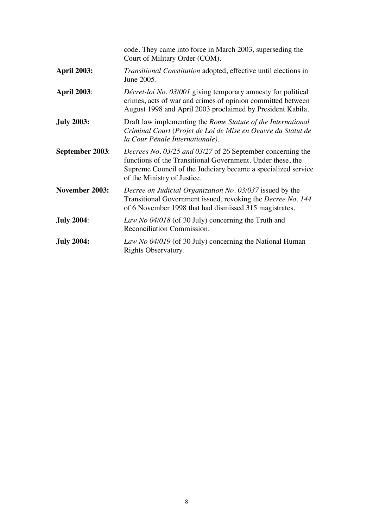|                    | code. They came into force in March 2003, superseding the<br>Court of Military Order (COM).                                                                                                                              |
|--------------------|--------------------------------------------------------------------------------------------------------------------------------------------------------------------------------------------------------------------------|
| <b>April 2003:</b> | Transitional Constitution adopted, effective until elections in<br>June 2005.                                                                                                                                            |
| <b>April 2003:</b> | Décret-loi No. 03/001 giving temporary amnesty for political<br>crimes, acts of war and crimes of opinion committed between<br>August 1998 and April 2003 proclaimed by President Kabila.                                |
| <b>July 2003:</b>  | Draft law implementing the Rome Statute of the International<br>Criminal Court (Projet de Loi de Mise en Oeuvre du Statut de<br>la Cour Pénale Internationale).                                                          |
| September 2003:    | Decrees No. 03/25 and 03/27 of 26 September concerning the<br>functions of the Transitional Government. Under these, the<br>Supreme Council of the Judiciary became a specialized service<br>of the Ministry of Justice. |
| November 2003:     | Decree on Judicial Organization No. 03/037 issued by the<br>Transitional Government issued, revoking the Decree No. 144<br>of 6 November 1998 that had dismissed 315 magistrates.                                        |
| <b>July 2004:</b>  | Law No 04/018 (of 30 July) concerning the Truth and<br>Reconciliation Commission.                                                                                                                                        |
| <b>July 2004:</b>  | Law No 04/019 (of 30 July) concerning the National Human<br>Rights Observatory.                                                                                                                                          |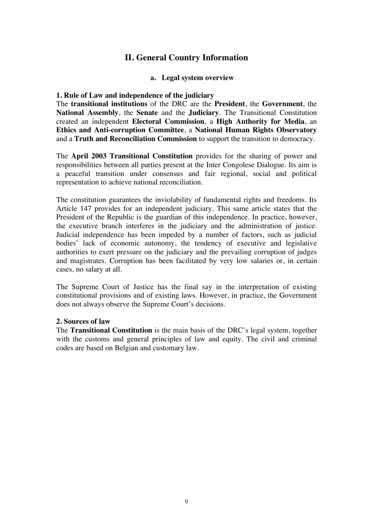# **II. General Country Information**

## **a. Legal system overview**

#### **1. Rule of Law and independence of the judiciary**

The **transitional institutions** of the DRC are the **President**, the **Government**, the **National Assembly**, the **Senate** and the **Judiciary**. The Transitional Constitution created an independent **Electoral Commission**, a **High Authority for Media**, an **Ethics and Anti-corruption Committee**, a **National Human Rights Observatory** and a **Truth and Reconciliation Commission** to support the transition to democracy.

The **April 2003 Transitional Constitution** provides for the sharing of power and responsibilities between all parties present at the Inter Congolese Dialogue. Its aim is a peaceful transition under consensus and fair regional, social and political representation to achieve national reconciliation.

The constitution guarantees the inviolability of fundamental rights and freedoms. Its Article 147 provides for an independent judiciary. This same article states that the President of the Republic is the guardian of this independence. In practice, however, the executive branch interferes in the judiciary and the administration of justice. Judicial independence has been impeded by a number of factors, such as judicial bodies' lack of economic autonomy, the tendency of executive and legislative authorities to exert pressure on the judiciary and the prevailing corruption of judges and magistrates. Corruption has been facilitated by very low salaries or, in certain cases, no salary at all.

The Supreme Court of Justice has the final say in the interpretation of existing constitutional provisions and of existing laws. However, in practice, the Government does not always observe the Supreme Court's decisions.

## **2. Sources of law**

The **Transitional Constitution** is the main basis of the DRC's legal system, together with the customs and general principles of law and equity. The civil and criminal codes are based on Belgian and customary law.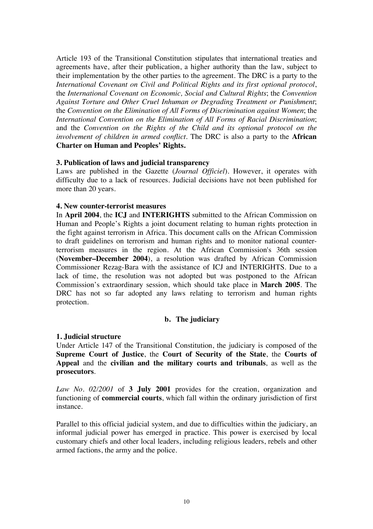Article 193 of the Transitional Constitution stipulates that international treaties and agreements have, after their publication, a higher authority than the law, subject to their implementation by the other parties to the agreement. The DRC is a party to the *International Covenant on Civil and Political Rights and its first optional protocol*, the *International Covenant on Economic, Social and Cultural Rights*; the *Convention Against Torture and Other Cruel Inhuman or Degrading Treatment or Punishment*; the *Convention on the Elimination of All Forms of Discrimination against Women*; the *International Convention on the Elimination of All Forms of Racial Discrimination*; and the *Convention on the Rights of the Child and its optional protocol on the involvement of children in armed conflict*. The DRC is also a party to the **African Charter on Human and Peoples' Rights.**

## **3. Publication of laws and judicial transparency**

Laws are published in the Gazette (*Journal Officiel*). However, it operates with difficulty due to a lack of resources. Judicial decisions have not been published for more than 20 years.

#### **4. New counter-terrorist measures**

In **April 2004**, the **ICJ** and **INTERIGHTS** submitted to the African Commission on Human and People's Rights a joint document relating to human rights protection in the fight against terrorism in Africa. This document calls on the African Commission to draft guidelines on terrorism and human rights and to monitor national counterterrorism measures in the region. At the African Commission's 36th session (**November–December 2004**), a resolution was drafted by African Commission Commissioner Rezag-Bara with the assistance of ICJ and INTERIGHTS. Due to a lack of time, the resolution was not adopted but was postponed to the African Commission's extraordinary session, which should take place in **March 2005**. The DRC has not so far adopted any laws relating to terrorism and human rights protection.

## **b. The judiciary**

#### **1. Judicial structure**

Under Article 147 of the Transitional Constitution, the judiciary is composed of the **Supreme Court of Justice**, the **Court of Security of the State**, the **Courts of Appeal** and the **civilian and the military courts and tribunals**, as well as the **prosecutors**.

*Law No. 02/2001* of **3 July 2001** provides for the creation, organization and functioning of **commercial courts**, which fall within the ordinary jurisdiction of first instance.

Parallel to this official judicial system, and due to difficulties within the judiciary, an informal judicial power has emerged in practice. This power is exercised by local customary chiefs and other local leaders, including religious leaders, rebels and other armed factions, the army and the police.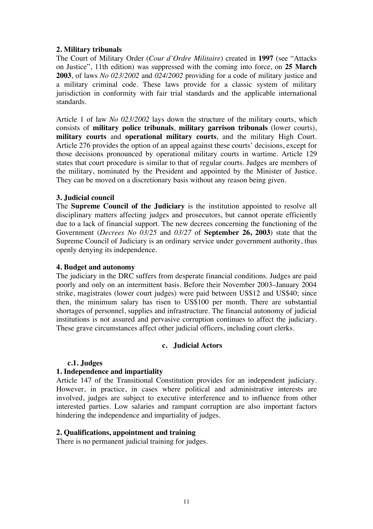# **2. Military tribunals**

The Court of Military Order (*Cour d'Ordre Militaire*) created in **1997** (see "Attacks on Justice", 11th edition) was suppressed with the coming into force, on **25 March 2003**, of laws *No 023/2002* and *024/2002* providing for a code of military justice and a military criminal code. These laws provide for a classic system of military jurisdiction in conformity with fair trial standards and the applicable international standards.

Article 1 of law *No 023/2002* lays down the structure of the military courts, which consists of **military police tribunals**, **military garrison tribunals** (lower courts), **military courts** and **operational military courts**, and the military High Court. Article 276 provides the option of an appeal against these courts' decisions, except for those decisions pronounced by operational military courts in wartime. Article 129 states that court procedure is similar to that of regular courts. Judges are members of the military, nominated by the President and appointed by the Minister of Justice. They can be moved on a discretionary basis without any reason being given.

# **3. Judicial council**

The **Supreme Council of the Judiciary** is the institution appointed to resolve all disciplinary matters affecting judges and prosecutors, but cannot operate efficiently due to a lack of financial support. The new decrees concerning the functioning of the Government (*Decrees No 03/25* and *03/27* of **September 26, 2003**) state that the Supreme Council of Judiciary is an ordinary service under government authority, thus openly denying its independence.

## **4. Budget and autonomy**

The judiciary in the DRC suffers from desperate financial conditions. Judges are paid poorly and only on an intermittent basis. Before their November 2003–January 2004 strike, magistrates (lower court judges) were paid between US\$12 and US\$40; since then, the minimum salary has risen to US\$100 per month. There are substantial shortages of personnel, supplies and infrastructure. The financial autonomy of judicial institutions is not assured and pervasive corruption continues to affect the judiciary. These grave circumstances affect other judicial officers, including court clerks.

## **c. Judicial Actors**

## **c.1. Judges**

# **1. Independence and impartiality**

Article 147 of the Transitional Constitution provides for an independent judiciary. However, in practice, in cases where political and administrative interests are involved, judges are subject to executive interference and to influence from other interested parties. Low salaries and rampant corruption are also important factors hindering the independence and impartiality of judges.

## **2. Qualifications, appointment and training**

There is no permanent judicial training for judges.